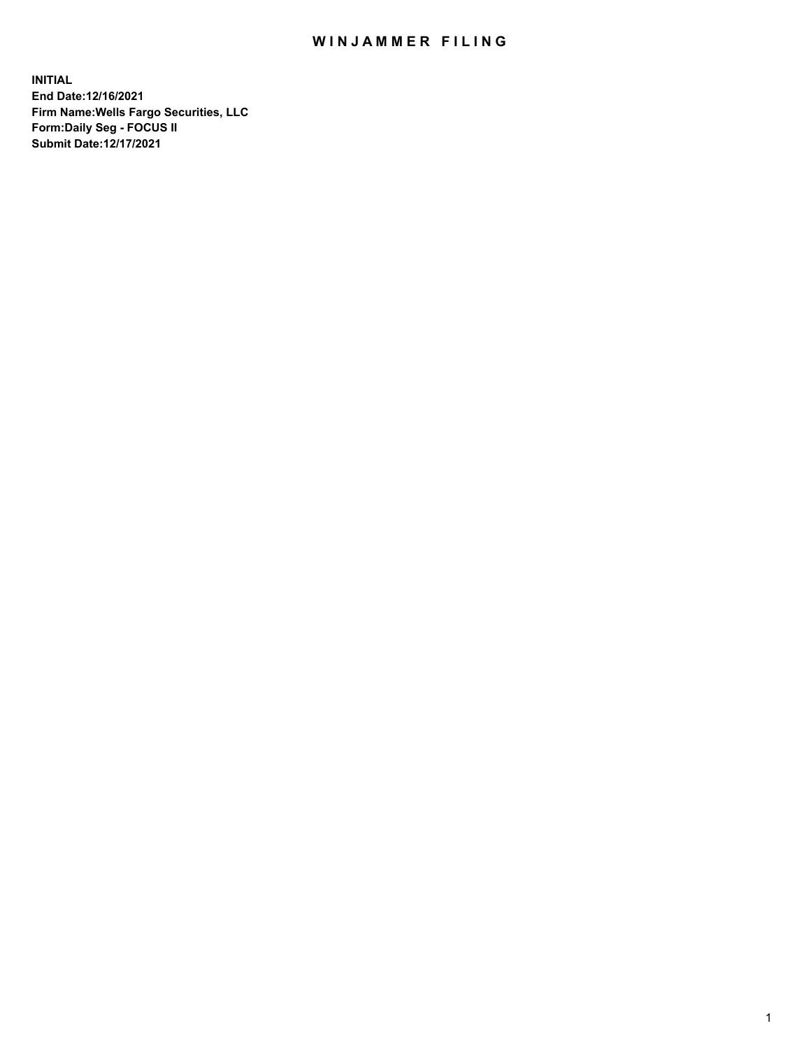## WIN JAMMER FILING

**INITIAL End Date:12/16/2021 Firm Name:Wells Fargo Securities, LLC Form:Daily Seg - FOCUS II Submit Date:12/17/2021**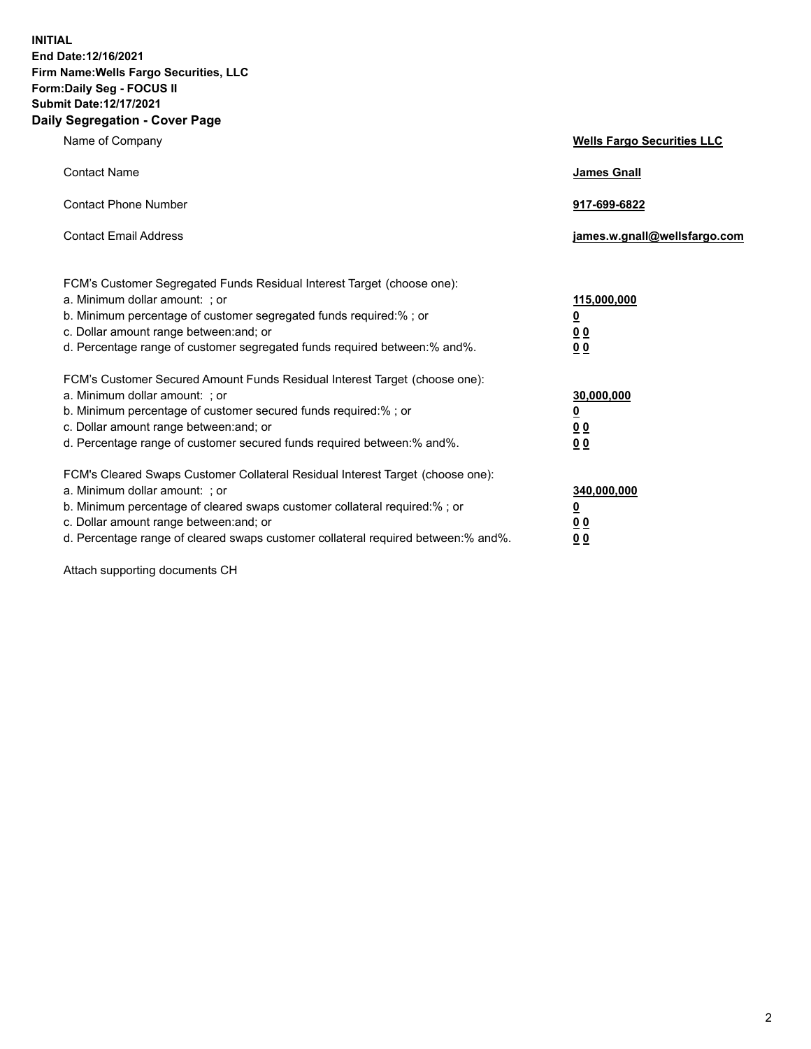**INITIAL End Date:12/16/2021 Firm Name:Wells Fargo Securities, LLC Form:Daily Seg - FOCUS II Submit Date:12/17/2021 Daily Segregation - Cover Page**

| Name of Company                                                                                                                                                                                                                                                                                                                | <b>Wells Fargo Securities LLC</b>                          |
|--------------------------------------------------------------------------------------------------------------------------------------------------------------------------------------------------------------------------------------------------------------------------------------------------------------------------------|------------------------------------------------------------|
| <b>Contact Name</b>                                                                                                                                                                                                                                                                                                            | <b>James Gnall</b>                                         |
| <b>Contact Phone Number</b>                                                                                                                                                                                                                                                                                                    | 917-699-6822                                               |
| <b>Contact Email Address</b>                                                                                                                                                                                                                                                                                                   | james.w.gnall@wellsfargo.com                               |
| FCM's Customer Segregated Funds Residual Interest Target (choose one):<br>a. Minimum dollar amount: ; or<br>b. Minimum percentage of customer segregated funds required:% ; or<br>c. Dollar amount range between: and; or<br>d. Percentage range of customer segregated funds required between: % and %.                       | 115,000,000<br><u>0</u><br><u>00</u><br>0 <sub>0</sub>     |
| FCM's Customer Secured Amount Funds Residual Interest Target (choose one):<br>a. Minimum dollar amount: ; or<br>b. Minimum percentage of customer secured funds required:% ; or<br>c. Dollar amount range between: and; or<br>d. Percentage range of customer secured funds required between: % and %.                         | 30,000,000<br><u>0</u><br>0 <sub>0</sub><br>0 <sub>0</sub> |
| FCM's Cleared Swaps Customer Collateral Residual Interest Target (choose one):<br>a. Minimum dollar amount: ; or<br>b. Minimum percentage of cleared swaps customer collateral required:% ; or<br>c. Dollar amount range between: and; or<br>d. Percentage range of cleared swaps customer collateral required between:% and%. | 340,000,000<br><u>0</u><br>00<br><u>00</u>                 |

Attach supporting documents CH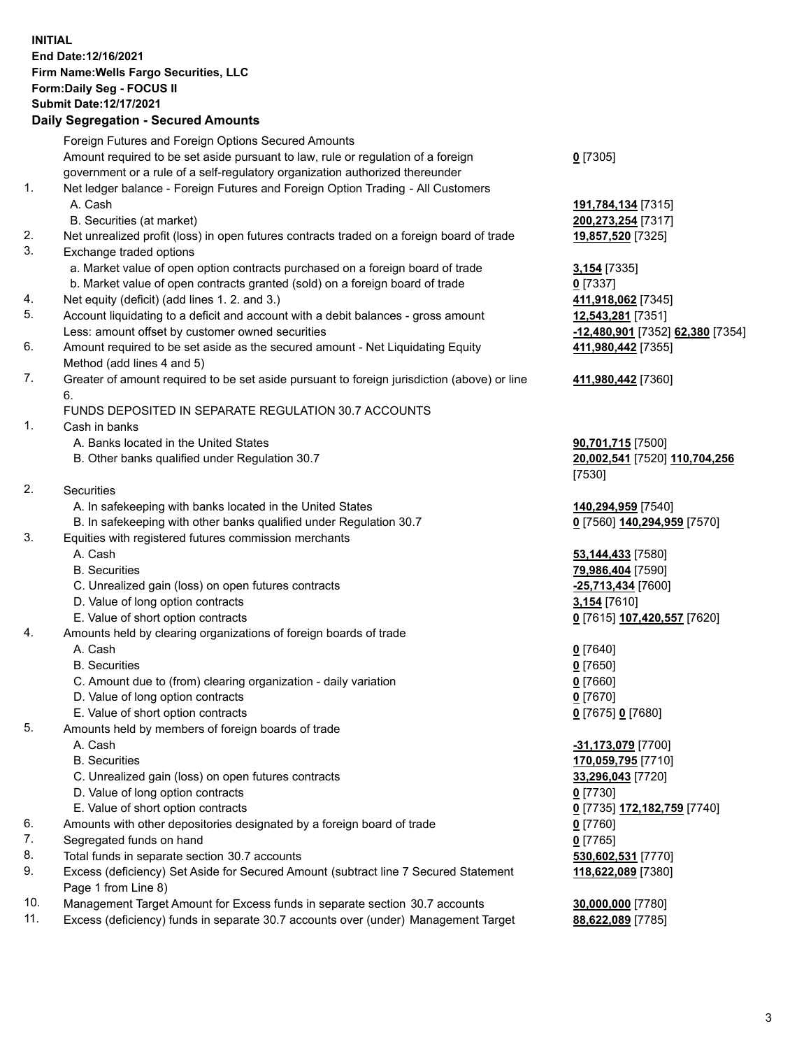**INITIAL End Date:12/16/2021 Firm Name:Wells Fargo Securities, LLC Form:Daily Seg - FOCUS II Submit Date:12/17/2021**

## **Daily Segregation - Secured Amounts**

|     | Foreign Futures and Foreign Options Secured Amounts                                                        |                                                      |
|-----|------------------------------------------------------------------------------------------------------------|------------------------------------------------------|
|     | Amount required to be set aside pursuant to law, rule or regulation of a foreign                           | $0$ [7305]                                           |
|     | government or a rule of a self-regulatory organization authorized thereunder                               |                                                      |
| 1.  | Net ledger balance - Foreign Futures and Foreign Option Trading - All Customers                            |                                                      |
|     | A. Cash                                                                                                    | 191,784,134 [7315]                                   |
|     | B. Securities (at market)                                                                                  | 200,273,254 [7317]                                   |
| 2.  | Net unrealized profit (loss) in open futures contracts traded on a foreign board of trade                  | 19,857,520 [7325]                                    |
| 3.  | Exchange traded options                                                                                    |                                                      |
|     | a. Market value of open option contracts purchased on a foreign board of trade                             | 3,154 [7335]                                         |
|     | b. Market value of open contracts granted (sold) on a foreign board of trade                               | $0$ [7337]                                           |
| 4.  | Net equity (deficit) (add lines 1. 2. and 3.)                                                              | 411,918,062 [7345]                                   |
| 5.  | Account liquidating to a deficit and account with a debit balances - gross amount                          | 12,543,281 [7351]                                    |
|     | Less: amount offset by customer owned securities                                                           | <mark>-12,480,901</mark> [7352] <b>62,380</b> [7354] |
| 6.  | Amount required to be set aside as the secured amount - Net Liquidating Equity                             | 411,980,442 [7355]                                   |
|     | Method (add lines 4 and 5)                                                                                 |                                                      |
| 7.  | Greater of amount required to be set aside pursuant to foreign jurisdiction (above) or line                | 411,980,442 [7360]                                   |
|     | 6.                                                                                                         |                                                      |
|     | FUNDS DEPOSITED IN SEPARATE REGULATION 30.7 ACCOUNTS                                                       |                                                      |
| 1.  | Cash in banks                                                                                              |                                                      |
|     | A. Banks located in the United States                                                                      | 90,701,715 [7500]                                    |
|     | B. Other banks qualified under Regulation 30.7                                                             | 20,002,541 [7520] 110,704,256                        |
|     |                                                                                                            | [7530]                                               |
| 2.  | Securities                                                                                                 |                                                      |
|     | A. In safekeeping with banks located in the United States                                                  | 140,294,959 [7540]                                   |
|     | B. In safekeeping with other banks qualified under Regulation 30.7                                         | 0 [7560] 140,294,959 [7570]                          |
| 3.  | Equities with registered futures commission merchants                                                      |                                                      |
|     | A. Cash                                                                                                    | 53,144,433 [7580]                                    |
|     | <b>B.</b> Securities                                                                                       | 79,986,404 [7590]                                    |
|     | C. Unrealized gain (loss) on open futures contracts                                                        | -25,713,434 [7600]                                   |
|     | D. Value of long option contracts                                                                          | 3,154 [7610]                                         |
|     | E. Value of short option contracts                                                                         | 0 [7615] 107,420,557 [7620]                          |
| 4.  | Amounts held by clearing organizations of foreign boards of trade                                          |                                                      |
|     | A. Cash                                                                                                    | $0$ [7640]                                           |
|     | <b>B.</b> Securities                                                                                       | $0$ [7650]                                           |
|     | C. Amount due to (from) clearing organization - daily variation                                            | $0$ [7660]                                           |
|     | D. Value of long option contracts                                                                          | $0$ [7670]                                           |
|     | E. Value of short option contracts                                                                         | 0 [7675] 0 [7680]                                    |
| 5.  | Amounts held by members of foreign boards of trade                                                         |                                                      |
|     | A. Cash                                                                                                    | -31,173,079 [7700]                                   |
|     | <b>B.</b> Securities                                                                                       | 170,059,795 [7710]                                   |
|     | C. Unrealized gain (loss) on open futures contracts                                                        | 33,296,043 [7720]                                    |
|     | D. Value of long option contracts                                                                          | $0$ [7730]                                           |
|     | E. Value of short option contracts                                                                         | 0 <sup>[7735]</sup> 172,182,759 <sup>[7740]</sup>    |
| 6.  | Amounts with other depositories designated by a foreign board of trade                                     | $0$ [7760]                                           |
| 7.  | Segregated funds on hand                                                                                   | $0$ [7765]                                           |
| 8.  | Total funds in separate section 30.7 accounts                                                              | 530,602,531 [7770]                                   |
| 9.  | Excess (deficiency) Set Aside for Secured Amount (subtract line 7 Secured Statement<br>Page 1 from Line 8) | 118,622,089 [7380]                                   |
| 10. | Management Target Amount for Excess funds in separate section 30.7 accounts                                | 30,000,000 [7780]                                    |
|     |                                                                                                            |                                                      |

11. Excess (deficiency) funds in separate 30.7 accounts over (under) Management Target **88,622,089** [7785]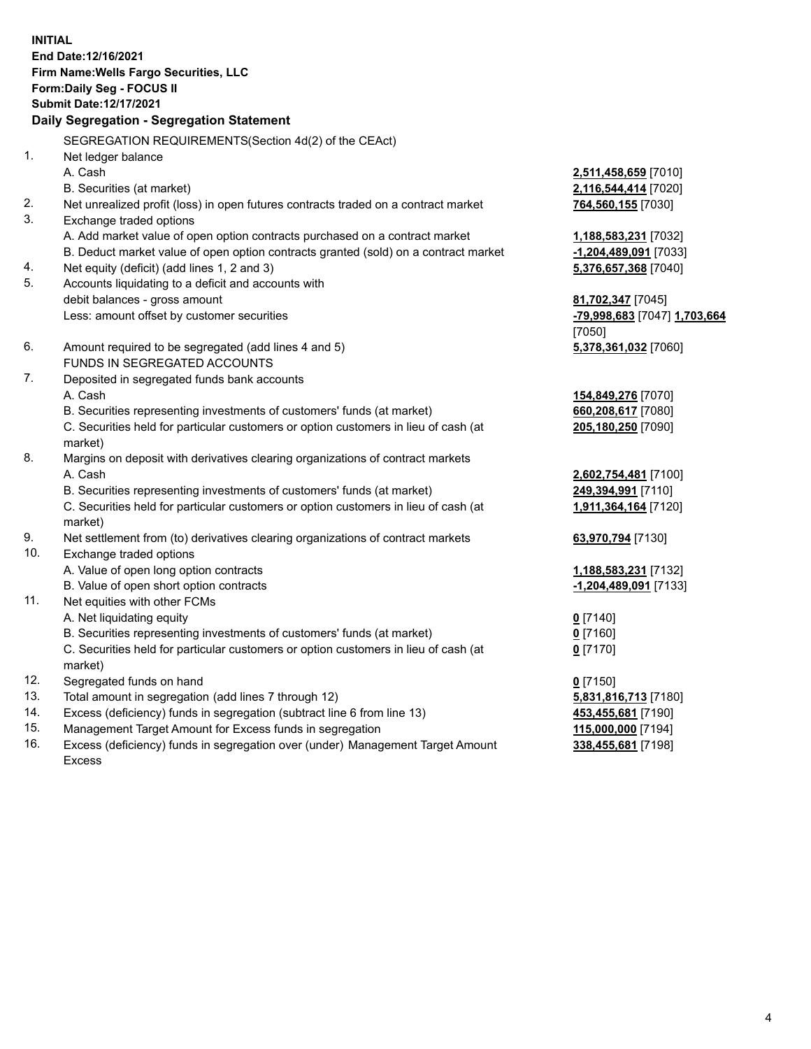**INITIAL End Date:12/16/2021 Firm Name:Wells Fargo Securities, LLC Form:Daily Seg - FOCUS II Submit Date:12/17/2021**

## **Daily Segregation - Segregation Statement**

SEGREGATION REQUIREMENTS(Section 4d(2) of the CEAct)

|     | OLONLOATION INLQUINLIVILIVI O(OCCIDII 40(Z) OI THE OLACI)                           |                              |
|-----|-------------------------------------------------------------------------------------|------------------------------|
| 1.  | Net ledger balance                                                                  |                              |
|     | A. Cash                                                                             | 2,511,458,659 [7010]         |
|     | B. Securities (at market)                                                           | 2,116,544,414 [7020]         |
| 2.  | Net unrealized profit (loss) in open futures contracts traded on a contract market  | 764,560,155 [7030]           |
| 3.  | Exchange traded options                                                             |                              |
|     | A. Add market value of open option contracts purchased on a contract market         | 1,188,583,231 [7032]         |
|     | B. Deduct market value of open option contracts granted (sold) on a contract market | -1,204,489,091 [7033]        |
| 4.  | Net equity (deficit) (add lines 1, 2 and 3)                                         | 5,376,657,368 [7040]         |
| 5.  | Accounts liquidating to a deficit and accounts with                                 |                              |
|     | debit balances - gross amount                                                       | 81,702,347 [7045]            |
|     | Less: amount offset by customer securities                                          | -79,998,683 [7047] 1,703,664 |
|     |                                                                                     | [7050]                       |
| 6.  | Amount required to be segregated (add lines 4 and 5)                                | 5,378,361,032 [7060]         |
|     | FUNDS IN SEGREGATED ACCOUNTS                                                        |                              |
| 7.  | Deposited in segregated funds bank accounts                                         |                              |
|     | A. Cash                                                                             | 154,849,276 [7070]           |
|     | B. Securities representing investments of customers' funds (at market)              | 660,208,617 [7080]           |
|     | C. Securities held for particular customers or option customers in lieu of cash (at | 205,180,250 [7090]           |
|     | market)                                                                             |                              |
| 8.  | Margins on deposit with derivatives clearing organizations of contract markets      |                              |
|     | A. Cash                                                                             | 2,602,754,481 [7100]         |
|     | B. Securities representing investments of customers' funds (at market)              | 249,394,991 [7110]           |
|     | C. Securities held for particular customers or option customers in lieu of cash (at | 1,911,364,164 [7120]         |
|     | market)                                                                             |                              |
| 9.  | Net settlement from (to) derivatives clearing organizations of contract markets     | 63,970,794 [7130]            |
| 10. | Exchange traded options                                                             |                              |
|     | A. Value of open long option contracts                                              | 1,188,583,231 [7132]         |
|     | B. Value of open short option contracts                                             | -1,204,489,091 [7133]        |
| 11. | Net equities with other FCMs                                                        |                              |
|     | A. Net liquidating equity                                                           | $0$ [7140]                   |
|     | B. Securities representing investments of customers' funds (at market)              | $0$ [7160]                   |
|     | C. Securities held for particular customers or option customers in lieu of cash (at | $0$ [7170]                   |
|     | market)                                                                             |                              |
| 12. | Segregated funds on hand                                                            | $0$ [7150]                   |
| 13. | Total amount in segregation (add lines 7 through 12)                                | 5,831,816,713 [7180]         |
| 14. | Excess (deficiency) funds in segregation (subtract line 6 from line 13)             | 453,455,681 [7190]           |
| 15. | Management Target Amount for Excess funds in segregation                            | 115,000,000 [7194]           |
| 16. | Excess (deficiency) funds in segregation over (under) Management Target Amount      | 338,455,681 [7198]           |
|     | Excess                                                                              |                              |